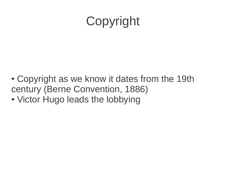### Copyright

- Copyright as we know it dates from the 19th century (Berne Convention, 1886)
- Victor Hugo leads the lobbying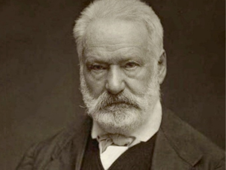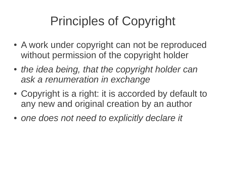## Principles of Copyright

- A work under copyright can not be reproduced without permission of the copyright holder
- *the idea being, that the copyright holder can ask a renumeration in exchange*
- Copyright is a right: it is accorded by default to any new and original creation by an author
- one does not need to explicitly declare it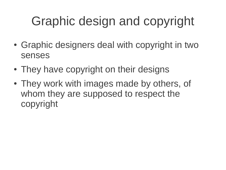# Graphic design and copyright

- Graphic designers deal with copyright in two senses
- They have copyright on their designs
- They work with images made by others, of whom they are supposed to respect the copyright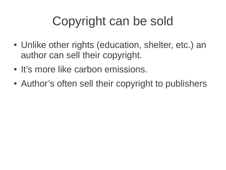# Copyright can be sold

- Unlike other rights (education, shelter, etc.) an author can sell their copyright.
- It's more like carbon emissions.
- Author's often sell their copyright to publishers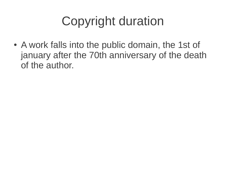## Copyright duration

• A work falls into the public domain, the 1st of january after the 70th anniversary of the death of the author.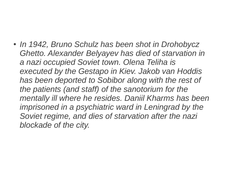• *In 1942, Bruno Schulz has been shot in Drohobycz Ghetto. Alexander Belyayev has died of starvation in a nazi occupied Soviet town. Olena Teliha is executed by the Gestapo in Kiev. Jakob van Hoddis has been deported to Sobibor along with the rest of the patients (and staff) of the sanotorium for the mentally ill where he resides. Daniil Kharms has been imprisoned in a psychiatric ward in Leningrad by the Soviet regime, and dies of starvation after the nazi blockade of the city.*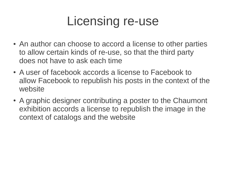### Licensing re-use

- An author can choose to accord a license to other parties to allow certain kinds of re-use, so that the third party does not have to ask each time
- A user of facebook accords a license to Facebook to allow Facebook to republish his posts in the context of the website
- A graphic designer contributing a poster to the Chaumont exhibition accords a license to republish the image in the context of catalogs and the website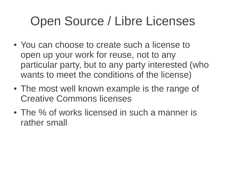### Open Source / Libre Licenses

- You can choose to create such a license to open up your work for reuse, not to any particular party, but to any party interested (who wants to meet the conditions of the license)
- The most well known example is the range of Creative Commons licenses
- The % of works licensed in such a manner is rather small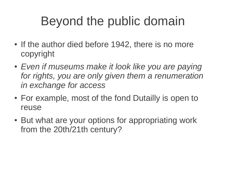## Beyond the public domain

- If the author died before 1942, there is no more copyright
- *Even if museums make it look like you are paying for rights, you are only given them a renumeration in exchange for access*
- For example, most of the fond Dutailly is open to reuse
- But what are your options for appropriating work from the 20th/21th century?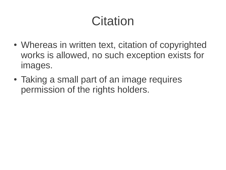### Citation

- Whereas in written text, citation of copyrighted works is allowed, no such exception exists for images.
- Taking a small part of an image requires permission of the rights holders.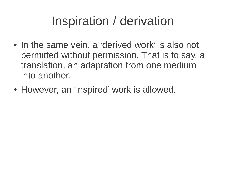#### Inspiration / derivation

- In the same vein, a 'derived work' is also not permitted without permission. That is to say, a translation, an adaptation from one medium into another.
- However, an 'inspired' work is allowed.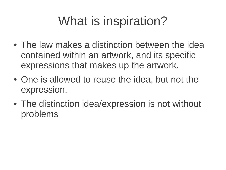### What is inspiration?

- The law makes a distinction between the idea contained within an artwork, and its specific expressions that makes up the artwork.
- One is allowed to reuse the idea, but not the expression.
- The distinction idea/expression is not without problems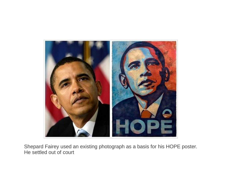

Shepard Fairey used an existing photograph as a basis for his HOPE poster. He settled out of court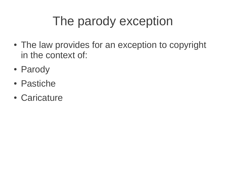### The parody exception

- The law provides for an exception to copyright in the context of:
- Parody
- Pastiche
- Caricature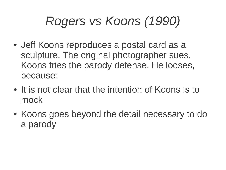### *Rogers vs Koons (1990)*

- Jeff Koons reproduces a postal card as a sculpture. The original photographer sues. Koons tries the parody defense. He looses, because:
- It is not clear that the intention of Koons is to mock
- Koons goes beyond the detail necessary to do a parody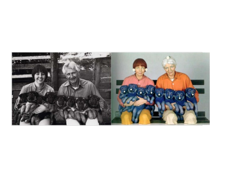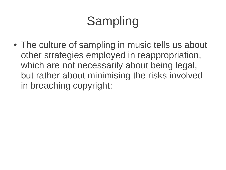# Sampling

• The culture of sampling in music tells us about other strategies employed in reappropriation, which are not necessarily about being legal, but rather about minimising the risks involved in breaching copyright: